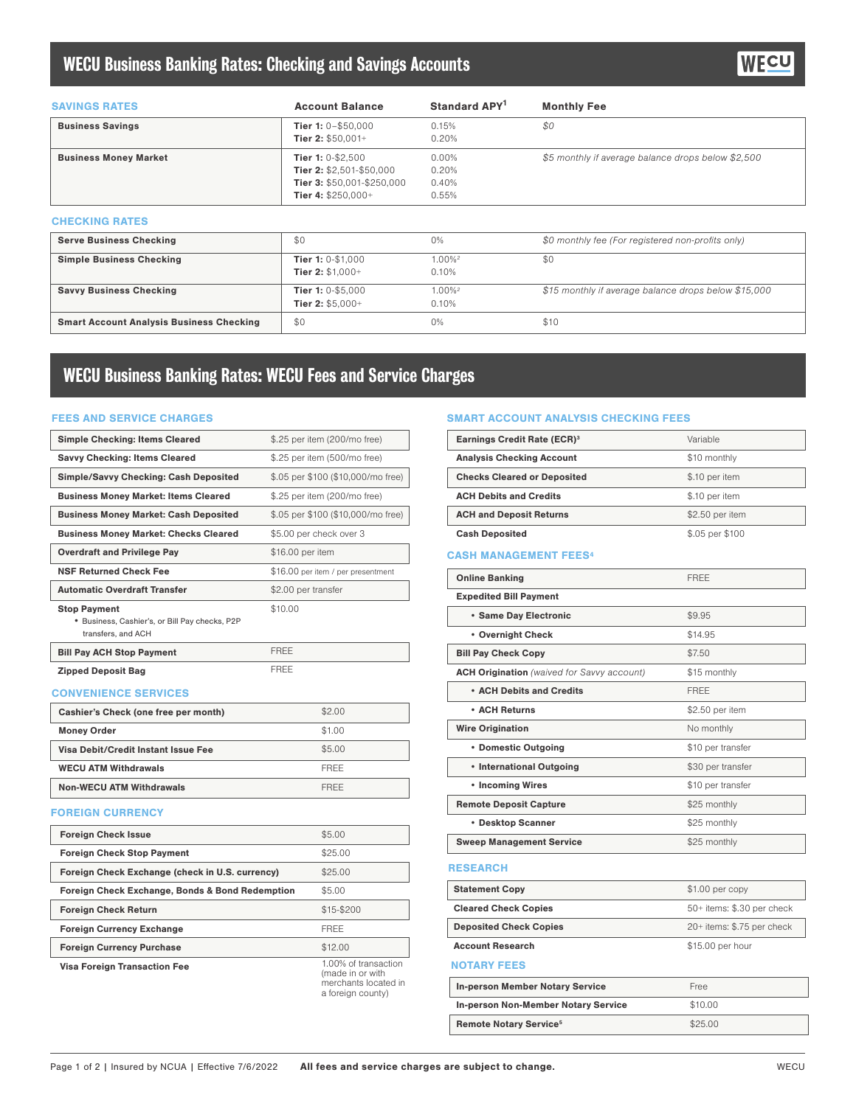## WECU Business Banking Rates: Checking and Savings Accounts

| <b>SAVINGS RATES</b>                            | <b>Account Balance</b>     | Standard APY <sup>1</sup> | <b>Monthly Fee</b>                                   |
|-------------------------------------------------|----------------------------|---------------------------|------------------------------------------------------|
| <b>Business Savings</b>                         | Tier 1: $0 - $50,000$      | 0.15%                     | \$0                                                  |
|                                                 | Tier 2: $$50.001+$         | 0.20%                     |                                                      |
| <b>Business Money Market</b>                    | Tier 1: 0-\$2,500          | $0.00\%$                  | \$5 monthly if average balance drops below \$2,500   |
|                                                 | Tier 2: \$2,501-\$50,000   | 0.20%                     |                                                      |
|                                                 | Tier 3: \$50,001-\$250,000 | 0.40%                     |                                                      |
|                                                 | Tier 4: $$250,000+$        | 0.55%                     |                                                      |
| <b>CHECKING RATES</b>                           |                            |                           |                                                      |
| <b>Serve Business Checking</b>                  | \$0                        | 0%                        | \$0 monthly fee (For registered non-profits only)    |
| <b>Simple Business Checking</b>                 | Tier 1: 0-\$1,000          | $1.00\%$ <sup>2</sup>     | \$0                                                  |
|                                                 | Tier 2: $$1.000+$          | 0.10%                     |                                                      |
| <b>Savvy Business Checking</b>                  | Tier 1: 0-\$5,000          | $1.00\%$ <sup>2</sup>     | \$15 monthly if average balance drops below \$15,000 |
|                                                 | Tier 2: $$5,000+$          | 0.10%                     |                                                      |
| <b>Smart Account Analysis Business Checking</b> | \$0                        | 0%                        | \$10                                                 |

# WECU Business Banking Rates: WECU Fees and Service Charges

#### FEES AND SERVICE CHARGES

| <b>Simple Checking: Items Cleared</b>                                                       | \$.25 per item (200/mo free)                                                          |
|---------------------------------------------------------------------------------------------|---------------------------------------------------------------------------------------|
| <b>Savvy Checking: Items Cleared</b>                                                        | \$.25 per item (500/mo free)                                                          |
| <b>Simple/Savvy Checking: Cash Deposited</b>                                                | \$.05 per \$100 (\$10,000/mo free)                                                    |
| <b>Business Money Market: Items Cleared</b>                                                 | \$.25 per item (200/mo free)                                                          |
| <b>Business Money Market: Cash Deposited</b>                                                | \$.05 per \$100 (\$10,000/mo free)                                                    |
| <b>Business Money Market: Checks Cleared</b>                                                | \$5.00 per check over 3                                                               |
| <b>Overdraft and Privilege Pay</b>                                                          | \$16.00 per item                                                                      |
| <b>NSF Returned Check Fee</b>                                                               | \$16.00 per item / per presentment                                                    |
| <b>Automatic Overdraft Transfer</b>                                                         | \$2.00 per transfer                                                                   |
| <b>Stop Payment</b><br>· Business, Cashier's, or Bill Pay checks, P2P<br>transfers, and ACH | \$10.00                                                                               |
| <b>Bill Pay ACH Stop Payment</b>                                                            | <b>FREE</b>                                                                           |
| <b>Zipped Deposit Bag</b>                                                                   | <b>FREE</b>                                                                           |
| <b>CONVENIENCE SERVICES</b>                                                                 |                                                                                       |
| Cashier's Check (one free per month)                                                        | \$2.00                                                                                |
| <b>Money Order</b>                                                                          | \$1.00                                                                                |
| Visa Debit/Credit Instant Issue Fee                                                         | \$5.00                                                                                |
| <b>WECU ATM Withdrawals</b>                                                                 | <b>FRFF</b>                                                                           |
| <b>Non-WECU ATM Withdrawals</b>                                                             | <b>FREE</b>                                                                           |
| <b>FOREIGN CURRENCY</b>                                                                     |                                                                                       |
| <b>Foreign Check Issue</b>                                                                  | \$5.00                                                                                |
| <b>Foreign Check Stop Payment</b>                                                           | \$25.00                                                                               |
| Foreign Check Exchange (check in U.S. currency)                                             | \$25.00                                                                               |
| Foreign Check Exchange, Bonds & Bond Redemption                                             | \$5.00                                                                                |
| <b>Foreign Check Return</b>                                                                 | \$15-\$200                                                                            |
| <b>Foreign Currency Exchange</b>                                                            | FREE                                                                                  |
| <b>Foreign Currency Purchase</b>                                                            | \$12.00                                                                               |
| Visa Foreign Transaction Fee                                                                | 1.00% of transaction<br>(made in or with<br>merchants located in<br>a foreign county) |

#### SMART ACCOUNT ANALYSIS CHECKING FEES

| <b>Earnings Credit Rate (ECR)<sup>3</sup></b>     | Variable                   |
|---------------------------------------------------|----------------------------|
| <b>Analysis Checking Account</b>                  | \$10 monthly               |
| <b>Checks Cleared or Deposited</b>                | \$.10 per item             |
| <b>ACH Debits and Credits</b>                     | \$.10 per item             |
| <b>ACH and Deposit Returns</b>                    | \$2.50 per item            |
| <b>Cash Deposited</b>                             | \$.05 per \$100            |
| <b>CASH MANAGEMENT FEES4</b>                      |                            |
| <b>Online Banking</b>                             | <b>FRFF</b>                |
| <b>Expedited Bill Payment</b>                     |                            |
| · Same Day Electronic                             | \$9.95                     |
| • Overnight Check                                 | \$14.95                    |
| <b>Bill Pay Check Copy</b>                        | \$7.50                     |
| <b>ACH Origination</b> (waived for Savvy account) | \$15 monthly               |
| • ACH Debits and Credits                          | <b>FREE</b>                |
| • ACH Returns                                     | \$2.50 per item            |
| <b>Wire Origination</b>                           | No monthly                 |
| • Domestic Outgoing                               | \$10 per transfer          |
| • International Outgoing                          | \$30 per transfer          |
| • Incoming Wires                                  | \$10 per transfer          |
| <b>Remote Deposit Capture</b>                     | \$25 monthly               |
| • Desktop Scanner                                 | \$25 monthly               |
| <b>Sweep Management Service</b>                   | \$25 monthly               |
| <b>RESEARCH</b>                                   |                            |
| <b>Statement Copy</b>                             | \$1.00 per copy            |
| <b>Cleared Check Copies</b>                       | 50+ items: \$.30 per check |
| <b>Deposited Check Copies</b>                     | 20+ items: \$.75 per check |
| <b>Account Research</b>                           | \$15.00 per hour           |
| <b>NOTARY FEES</b>                                |                            |
| <b>In-person Member Notary Service</b>            | Free                       |
| <b>In-person Non-Member Notary Service</b>        | \$10.00                    |
| <b>Remote Notary Service<sup>5</sup></b>          | \$25.00                    |
|                                                   |                            |

**NECU**